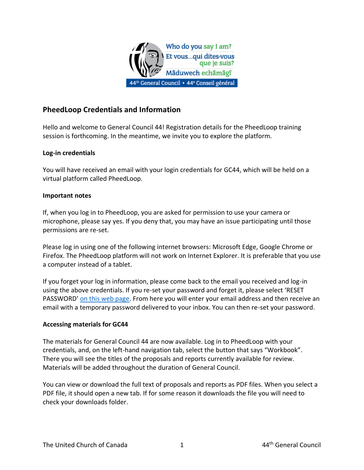

# **PheedLoop Credentials and Information**

Hello and welcome to General Council 44! Registration details for the PheedLoop training session is forthcoming. In the meantime, we invite you to explore the platform.

### **Log-in credentials**

You will have received an email with your login credentials for GC44, which will be held on a virtual platform called PheedLoop.

#### **Important notes**

If, when you log in to PheedLoop, you are asked for permission to use your camera or microphone, please say yes. If you deny that, you may have an issue participating until those permissions are re-set.

Please log in using one of the following internet browsers: Microsoft Edge, Google Chrome or Firefox. The PheedLoop platform will not work on Internet Explorer. It is preferable that you use a computer instead of a tablet.

If you forget your log in information, please come back to the email you received and log-in using the above credentials. If you re-set your password and forget it, please select 'RESET PASSWORD' [on this web page.](https://pheedloop.com/login) From here you will enter your email address and then receive an email with a temporary password delivered to your inbox. You can then re-set your password.

#### **Accessing materials for GC44**

The materials for General Council 44 are now available. Log in to PheedLoop with your credentials, and, on the left-hand navigation tab, select the button that says "Workbook". There you will see the titles of the proposals and reports currently available for review. Materials will be added throughout the duration of General Council.

You can view or download the full text of proposals and reports as PDF files. When you select a PDF file, it should open a new tab. If for some reason it downloads the file you will need to check your downloads folder.